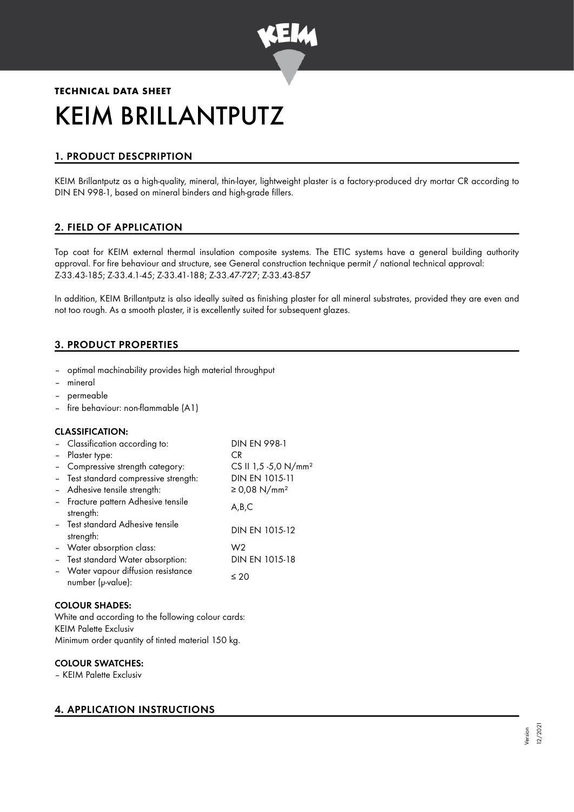

# **TECHNICAL DATA SHEET** KEIM BRILLANTPUTZ

# 1. PRODUCT DESCPRIPTION

KEIM Brillantputz as a high-quality, mineral, thin-layer, lightweight plaster is a factory-produced dry mortar CR according to DIN EN 998-1, based on mineral binders and high-grade fillers.

# 2. FIELD OF APPLICATION

Top coat for KEIM external thermal insulation composite systems. The ETIC systems have a general building authority approval. For fire behaviour and structure, see General construction technique permit / national technical approval: Z-33.43-185; Z-33.4.1-45; Z-33.41-188; Z-33.47-727; Z-33.43-857

In addition, KEIM Brillantputz is also ideally suited as finishing plaster for all mineral substrates, provided they are even and not too rough. As a smooth plaster, it is excellently suited for subsequent glazes.

# 3. PRODUCT PROPERTIES

- optimal machinability provides high material throughput
- mineral
- permeable
- fire behaviour: non-flammable (A1)

# CLASSIFICATION:

| - Classification according to:                         | <b>DIN EN 998-1</b>              |
|--------------------------------------------------------|----------------------------------|
| - Plaster type:                                        | CR.                              |
| Compressive strength category:                         | CS II 1,5 -5,0 N/mm <sup>2</sup> |
| - Test standard compressive strength:                  | DIN EN 1015-11                   |
| - Adhesive tensile strength:                           | ≥ 0,08 N/mm <sup>2</sup>         |
| - Fracture pattern Adhesive tensile<br>strength:       | A,B,C                            |
| - Test standard Adhesive tensile<br>strength:          | DIN EN 1015-12                   |
| - Water absorption class:                              | W2                               |
| - Test standard Water absorption:                      | DIN EN 1015-18                   |
| Water vapour diffusion resistance<br>number (µ-value): | $\leq 20$                        |

#### COLOUR SHADES:

White and according to the following colour cards: KEIM Palette Exclusiv Minimum order quantity of tinted material 150 kg.

# COLOUR SWATCHES:

– KEIM Palette Exclusiv

# 4. APPLICATION INSTRUCTIONS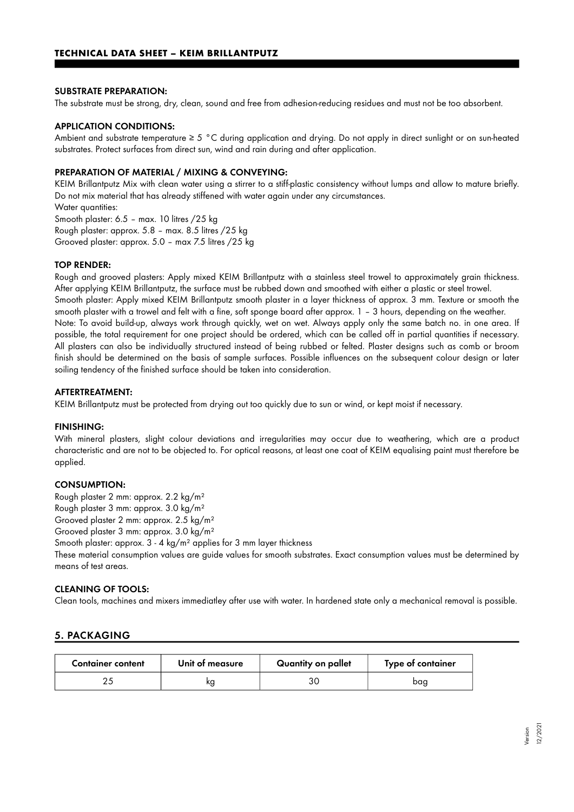#### SUBSTRATE PREPARATION:

The substrate must be strong, dry, clean, sound and free from adhesion-reducing residues and must not be too absorbent.

#### APPLICATION CONDITIONS:

Ambient and substrate temperature ≥ 5 °C during application and drying. Do not apply in direct sunlight or on sun-heated substrates. Protect surfaces from direct sun, wind and rain during and after application.

#### PREPARATION OF MATERIAL / MIXING & CONVEYING:

KEIM Brillantputz Mix with clean water using a stirrer to a stiff-plastic consistency without lumps and allow to mature briefly. Do not mix material that has already stiffened with water again under any circumstances.

Water quantities:

Smooth plaster: 6.5 – max. 10 litres /25 kg

Rough plaster: approx. 5.8 – max. 8.5 litres /25 kg

Grooved plaster: approx. 5.0 – max 7.5 litres /25 kg

#### TOP RENDER:

Rough and grooved plasters: Apply mixed KEIM Brillantputz with a stainless steel trowel to approximately grain thickness. After applying KEIM Brillantputz, the surface must be rubbed down and smoothed with either a plastic or steel trowel. Smooth plaster: Apply mixed KEIM Brillantputz smooth plaster in a layer thickness of approx. 3 mm. Texture or smooth the smooth plaster with a trowel and felt with a fine, soft sponge board after approx. 1 – 3 hours, depending on the weather. Note: To avoid build-up, always work through quickly, wet on wet. Always apply only the same batch no. in one area. If possible, the total requirement for one project should be ordered, which can be called off in partial quantities if necessary. All plasters can also be individually structured instead of being rubbed or felted. Plaster designs such as comb or broom finish should be determined on the basis of sample surfaces. Possible influences on the subsequent colour design or later soiling tendency of the finished surface should be taken into consideration.

#### AFTERTREATMENT:

KEIM Brillantputz must be protected from drying out too quickly due to sun or wind, or kept moist if necessary.

#### FINISHING:

With mineral plasters, slight colour deviations and irregularities may occur due to weathering, which are a product characteristic and are not to be objected to. For optical reasons, at least one coat of KEIM equalising paint must therefore be applied.

#### CONSUMPTION:

Rough plaster 2 mm: approx. 2.2 kg/m²

Rough plaster 3 mm: approx. 3.0 kg/m²

Grooved plaster 2 mm: approx. 2.5 kg/m²

Grooved plaster 3 mm: approx. 3.0 kg/m²

Smooth plaster: approx. 3 - 4 kg/m² applies for 3 mm layer thickness

These material consumption values are guide values for smooth substrates. Exact consumption values must be determined by means of test areas.

#### CLEANING OF TOOLS:

Clean tools, machines and mixers immediatley after use with water. In hardened state only a mechanical removal is possible.

# 5. PACKAGING

| <b>Container content</b> | Unit of measure | Quantity on pallet | Type of container |
|--------------------------|-----------------|--------------------|-------------------|
|                          |                 |                    | baa               |